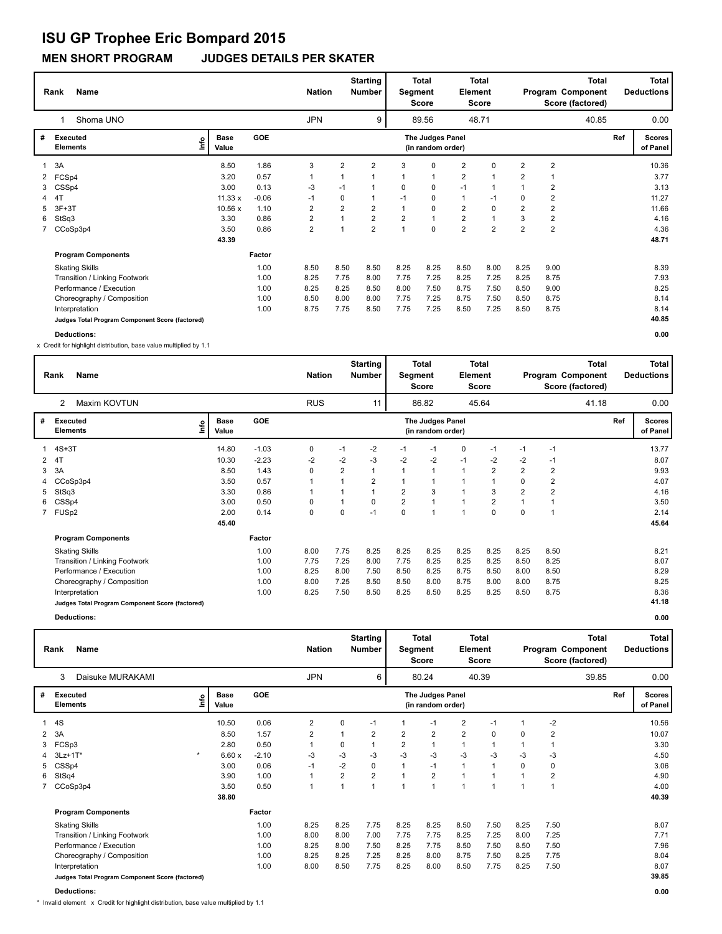**MEN SHORT PROGRAM JUDGES DETAILS PER SKATER**

|   | Name<br>Rank<br>Shoma UNO                       |    |                      |            |                | <b>Nation</b>           | <b>Starting</b><br><b>Number</b> |                | Total<br>Segment<br><b>Score</b>      | Element        | <b>Total</b><br><b>Score</b> |                |                | Total<br>Program Component<br>Score (factored) |     | Total<br><b>Deductions</b> |
|---|-------------------------------------------------|----|----------------------|------------|----------------|-------------------------|----------------------------------|----------------|---------------------------------------|----------------|------------------------------|----------------|----------------|------------------------------------------------|-----|----------------------------|
|   |                                                 |    |                      |            | <b>JPN</b>     |                         | 9                                |                | 89.56                                 |                | 48.71                        |                |                | 40.85                                          |     | 0.00                       |
| # | Executed<br><b>Elements</b>                     | ١m | <b>Base</b><br>Value | <b>GOE</b> |                |                         |                                  |                | The Judges Panel<br>(in random order) |                |                              |                |                |                                                | Ref | <b>Scores</b><br>of Panel  |
| 1 | 3A                                              |    | 8.50                 | 1.86       | 3              | $\overline{2}$          | 2                                | 3              | 0                                     | $\overline{2}$ | 0                            | $\overline{2}$ | $\overline{2}$ |                                                |     | 10.36                      |
| 2 | FCSp4                                           |    | 3.20                 | 0.57       | $\overline{1}$ | 1                       | 1                                | 1              | $\mathbf{1}$                          | $\overline{2}$ |                              | $\overline{2}$ | $\mathbf 1$    |                                                |     | 3.77                       |
| 3 | CSSp4                                           |    | 3.00                 | 0.13       | $-3$           | $-1$                    | 1                                | $\Omega$       | 0                                     | $-1$           |                              |                | $\overline{2}$ |                                                |     | 3.13                       |
|   | 4T                                              |    | 11.33 x              | $-0.06$    | $-1$           | 0                       | 1                                | $-1$           | 0                                     | $\mathbf{1}$   | $-1$                         | $\Omega$       | $\overline{2}$ |                                                |     | 11.27                      |
| 5 | $3F+3T$                                         |    | 10.56 x              | 1.10       | 2              | $\overline{2}$          | 2                                |                | 0                                     | $\overline{2}$ | $\mathbf 0$                  | $\overline{2}$ | $\overline{2}$ |                                                |     | 11.66                      |
| 6 | StSq3                                           |    | 3.30                 | 0.86       | 2              | 1                       | $\overline{2}$                   | $\overline{2}$ | $\overline{1}$                        | $\overline{2}$ |                              | 3              | $\overline{2}$ |                                                |     | 4.16                       |
|   | CCoSp3p4                                        |    | 3.50                 | 0.86       | $\overline{2}$ | $\overline{\mathbf{A}}$ | $\overline{2}$                   | $\overline{ }$ | $\Omega$                              | $\overline{2}$ | $\overline{2}$               | $\overline{2}$ | $\overline{2}$ |                                                |     | 4.36                       |
|   |                                                 |    | 43.39                |            |                |                         |                                  |                |                                       |                |                              |                |                |                                                |     | 48.71                      |
|   | <b>Program Components</b>                       |    |                      | Factor     |                |                         |                                  |                |                                       |                |                              |                |                |                                                |     |                            |
|   | <b>Skating Skills</b>                           |    |                      | 1.00       | 8.50           | 8.50                    | 8.50                             | 8.25           | 8.25                                  | 8.50           | 8.00                         | 8.25           | 9.00           |                                                |     | 8.39                       |
|   | Transition / Linking Footwork                   |    |                      | 1.00       | 8.25           | 7.75                    | 8.00                             | 7.75           | 7.25                                  | 8.25           | 7.25                         | 8.25           | 8.75           |                                                |     | 7.93                       |
|   | Performance / Execution                         |    |                      | 1.00       | 8.25           | 8.25                    | 8.50                             | 8.00           | 7.50                                  | 8.75           | 7.50                         | 8.50           | 9.00           |                                                |     | 8.25                       |
|   | Choreography / Composition                      |    |                      | 1.00       | 8.50           | 8.00                    | 8.00                             | 7.75           | 7.25                                  | 8.75           | 7.50                         | 8.50           | 8.75           |                                                |     | 8.14                       |
|   | Interpretation                                  |    |                      | 1.00       | 8.75           | 7.75                    | 8.50                             | 7.75           | 7.25                                  | 8.50           | 7.25                         | 8.50           | 8.75           |                                                |     | 8.14                       |
|   | Judges Total Program Component Score (factored) |    |                      |            |                |                         |                                  |                |                                       |                |                              |                |                |                                                |     | 40.85                      |
|   | <b>Deductions:</b>                              |    |                      |            |                |                         |                                  |                |                                       |                |                              |                |                |                                                |     | 0.00                       |

x Credit for highlight distribution, base value multiplied by 1.1

|   | Rank<br><b>Name</b><br>Maxim KOVTUN<br>2        |      |                      |            | <b>Nation</b> |      | <b>Starting</b><br><b>Number</b> |                | <b>Total</b><br>Segment<br><b>Score</b> | Element        | Total<br><b>Score</b> |                |                | <b>Total</b><br>Program Component<br>Score (factored) |     | Total<br><b>Deductions</b> |
|---|-------------------------------------------------|------|----------------------|------------|---------------|------|----------------------------------|----------------|-----------------------------------------|----------------|-----------------------|----------------|----------------|-------------------------------------------------------|-----|----------------------------|
|   |                                                 |      |                      |            | <b>RUS</b>    |      | 11                               |                | 86.82                                   |                | 45.64                 |                |                | 41.18                                                 |     | 0.00                       |
| # | <b>Executed</b><br><b>Elements</b>              | lnfo | <b>Base</b><br>Value | <b>GOE</b> |               |      |                                  |                | The Judges Panel<br>(in random order)   |                |                       |                |                |                                                       | Ref | <b>Scores</b><br>of Panel  |
|   | $4S+3T$                                         |      | 14.80                | $-1.03$    | 0             | $-1$ | $-2$                             | $-1$           | $-1$                                    | 0              | $-1$                  | $-1$           | $-1$           |                                                       |     | 13.77                      |
| 2 | 4T                                              |      | 10.30                | $-2.23$    | $-2$          | $-2$ | $-3$                             | $-2$           | $-2$                                    | $-1$           | -2                    | -2             | $-1$           |                                                       |     | 8.07                       |
| 3 | 3A                                              |      | 8.50                 | 1.43       | 0             | 2    |                                  | 1              | 1                                       | $\overline{1}$ | $\overline{2}$        | $\overline{2}$ | $\overline{2}$ |                                                       |     | 9.93                       |
| 4 | CCoSp3p4                                        |      | 3.50                 | 0.57       |               |      | 2                                |                |                                         |                |                       | 0              | $\overline{2}$ |                                                       |     | 4.07                       |
| 5 | StSq3                                           |      | 3.30                 | 0.86       |               |      |                                  | $\overline{2}$ | 3                                       |                | 3                     | $\overline{2}$ | $\overline{2}$ |                                                       |     | 4.16                       |
|   | 6 CSSp4                                         |      | 3.00                 | 0.50       | 0             |      | 0                                | $\overline{2}$ | 1                                       |                | $\overline{2}$        |                | $\mathbf 1$    |                                                       |     | 3.50                       |
|   | 7 FUSp2                                         |      | 2.00                 | 0.14       | 0             | 0    | $-1$                             | 0              | 1                                       | $\overline{ }$ | 0                     | 0              | $\overline{1}$ |                                                       |     | 2.14                       |
|   |                                                 |      | 45.40                |            |               |      |                                  |                |                                         |                |                       |                |                |                                                       |     | 45.64                      |
|   | <b>Program Components</b>                       |      |                      | Factor     |               |      |                                  |                |                                         |                |                       |                |                |                                                       |     |                            |
|   | <b>Skating Skills</b>                           |      |                      | 1.00       | 8.00          | 7.75 | 8.25                             | 8.25           | 8.25                                    | 8.25           | 8.25                  | 8.25           | 8.50           |                                                       |     | 8.21                       |
|   | Transition / Linking Footwork                   |      |                      | 1.00       | 7.75          | 7.25 | 8.00                             | 7.75           | 8.25                                    | 8.25           | 8.25                  | 8.50           | 8.25           |                                                       |     | 8.07                       |
|   | Performance / Execution                         |      |                      | 1.00       | 8.25          | 8.00 | 7.50                             | 8.50           | 8.25                                    | 8.75           | 8.50                  | 8.00           | 8.50           |                                                       |     | 8.29                       |
|   | Choreography / Composition                      |      |                      | 1.00       | 8.00          | 7.25 | 8.50                             | 8.50           | 8.00                                    | 8.75           | 8.00                  | 8.00           | 8.75           |                                                       |     | 8.25                       |
|   | Interpretation                                  |      |                      | 1.00       | 8.25          | 7.50 | 8.50                             | 8.25           | 8.50                                    | 8.25           | 8.25                  | 8.50           | 8.75           |                                                       |     | 8.36                       |
|   | Judges Total Program Component Score (factored) |      |                      |            |               |      |                                  |                |                                         |                |                       |                |                |                                                       |     | 41.18                      |

**Deductions: 0.00**

|              | <b>Name</b><br>Rank<br>3<br>Daisuke MURAKAMI    |                               |            | <b>Nation</b>  |              | <b>Starting</b><br><b>Number</b> | Segment        | Total<br>Score                        | <b>Element</b> | <b>Total</b><br>Score |          |                | <b>Total</b><br>Program Component<br>Score (factored) |     | <b>Total</b><br><b>Deductions</b> |
|--------------|-------------------------------------------------|-------------------------------|------------|----------------|--------------|----------------------------------|----------------|---------------------------------------|----------------|-----------------------|----------|----------------|-------------------------------------------------------|-----|-----------------------------------|
|              |                                                 |                               |            | <b>JPN</b>     |              | 6                                |                | 80.24                                 |                | 40.39                 |          |                | 39.85                                                 |     | 0.00                              |
| #            | <b>Executed</b><br><b>Elements</b>              | <b>Base</b><br>Linfo<br>Value | <b>GOE</b> |                |              |                                  |                | The Judges Panel<br>(in random order) |                |                       |          |                |                                                       | Ref | <b>Scores</b><br>of Panel         |
|              | 4S                                              | 10.50                         | 0.06       | $\overline{2}$ | 0            | $-1$                             |                | $-1$                                  | $\overline{2}$ | $-1$                  |          | $-2$           |                                                       |     | 10.56                             |
| $\mathbf{2}$ | 3A                                              | 8.50                          | 1.57       | $\overline{2}$ | $\mathbf{1}$ | $\overline{2}$                   | $\overline{2}$ | $\overline{2}$                        | $\overline{2}$ | $\Omega$              | $\Omega$ | $\overline{2}$ |                                                       |     | 10.07                             |
| 3            | FCSp3                                           | 2.80                          | 0.50       |                | 0            |                                  | $\overline{2}$ | 1                                     | $\mathbf{1}$   |                       |          |                |                                                       |     | 3.30                              |
|              | $\star$<br>$3Lz+1T^*$                           | 6.60x                         | $-2.10$    | -3             | $-3$         | $-3$                             | $-3$           | $-3$                                  | $-3$           | $-3$                  | $-3$     | $-3$           |                                                       |     | 4.50                              |
| 5            | CSSp4                                           | 3.00                          | 0.06       | $-1$           | $-2$         | $\mathbf 0$                      |                | $-1$                                  | $\mathbf{1}$   |                       | $\Omega$ | 0              |                                                       |     | 3.06                              |
| 6            | StSq4                                           | 3.90                          | 1.00       |                | 2            | $\overline{2}$                   |                | $\overline{2}$                        | $\mathbf{1}$   |                       |          | 2              |                                                       |     | 4.90                              |
|              | 7 CCoSp3p4                                      | 3.50                          | 0.50       |                | 1            | $\overline{ }$                   |                | 4                                     | $\overline{1}$ |                       | 4        |                |                                                       |     | 4.00                              |
|              |                                                 | 38.80                         |            |                |              |                                  |                |                                       |                |                       |          |                |                                                       |     | 40.39                             |
|              | <b>Program Components</b>                       |                               | Factor     |                |              |                                  |                |                                       |                |                       |          |                |                                                       |     |                                   |
|              | <b>Skating Skills</b>                           |                               | 1.00       | 8.25           | 8.25         | 7.75                             | 8.25           | 8.25                                  | 8.50           | 7.50                  | 8.25     | 7.50           |                                                       |     | 8.07                              |
|              | Transition / Linking Footwork                   |                               | 1.00       | 8.00           | 8.00         | 7.00                             | 7.75           | 7.75                                  | 8.25           | 7.25                  | 8.00     | 7.25           |                                                       |     | 7.71                              |
|              | Performance / Execution                         |                               | 1.00       | 8.25           | 8.00         | 7.50                             | 8.25           | 7.75                                  | 8.50           | 7.50                  | 8.50     | 7.50           |                                                       |     | 7.96                              |
|              | Choreography / Composition                      |                               | 1.00       | 8.25           | 8.25         | 7.25                             | 8.25           | 8.00                                  | 8.75           | 7.50                  | 8.25     | 7.75           |                                                       |     | 8.04                              |
|              | Interpretation                                  |                               | 1.00       | 8.00           | 8.50         | 7.75                             | 8.25           | 8.00                                  | 8.50           | 7.75                  | 8.25     | 7.50           |                                                       |     | 8.07                              |
|              | Judges Total Program Component Score (factored) |                               |            |                |              |                                  |                |                                       |                |                       |          |                |                                                       |     | 39.85                             |

**Deductions: 0.00**

\* Invalid element x Credit for highlight distribution, base value multiplied by 1.1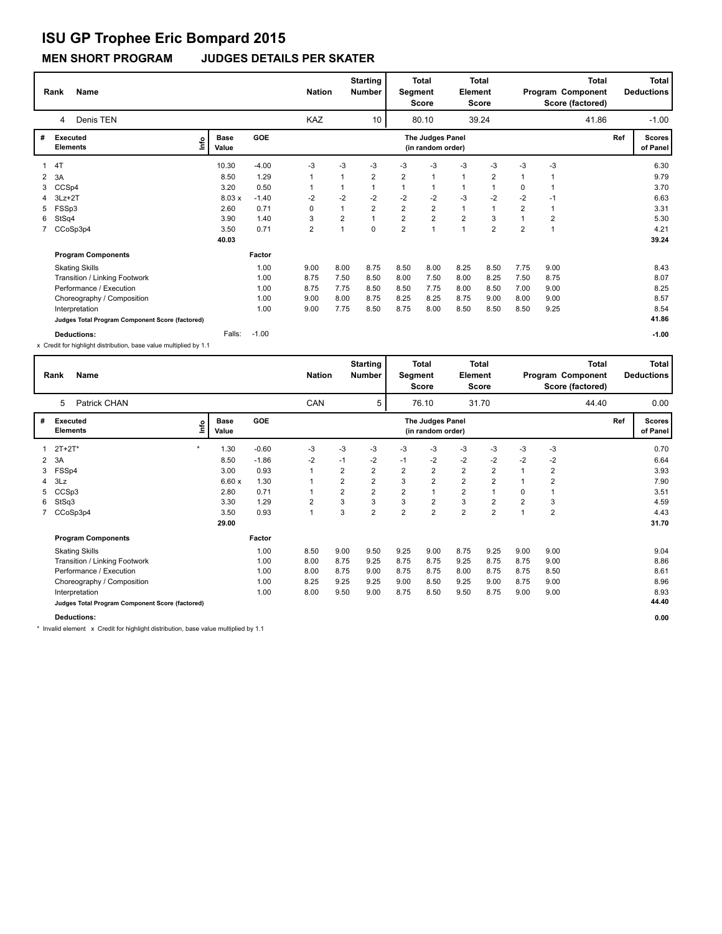**MEN SHORT PROGRAM JUDGES DETAILS PER SKATER**

|   | <b>Name</b><br>Rank<br>Denis TEN<br>4                                                |                            |         | <b>Nation</b>           |                         | <b>Starting</b><br><b>Number</b> | Segment        | <b>Total</b><br><b>Score</b>          | Element        | <b>Total</b><br>Score |                |                | Total<br>Program Component<br>Score (factored) |     | <b>Total</b><br><b>Deductions</b> |
|---|--------------------------------------------------------------------------------------|----------------------------|---------|-------------------------|-------------------------|----------------------------------|----------------|---------------------------------------|----------------|-----------------------|----------------|----------------|------------------------------------------------|-----|-----------------------------------|
|   |                                                                                      |                            |         | <b>KAZ</b>              |                         | 10                               |                | 80.10                                 |                | 39.24                 |                |                | 41.86                                          |     | $-1.00$                           |
| # | Executed<br><b>Elements</b>                                                          | <b>Base</b><br>١m<br>Value | GOE     |                         |                         |                                  |                | The Judges Panel<br>(in random order) |                |                       |                |                |                                                | Ref | <b>Scores</b><br>of Panel         |
|   | 4T                                                                                   | 10.30                      | $-4.00$ | $-3$                    | $-3$                    | -3                               | -3             | -3                                    | $-3$           | -3                    | -3             | $-3$           |                                                |     | 6.30                              |
| 2 | 3A                                                                                   | 8.50                       | 1.29    | $\mathbf{1}$            |                         | $\overline{2}$                   | $\overline{2}$ | 1                                     | $\mathbf{1}$   | $\overline{2}$        |                |                |                                                |     | 9.79                              |
|   | CCSp4                                                                                | 3.20                       | 0.50    | 1                       |                         |                                  |                |                                       | $\mathbf{1}$   |                       | 0              | $\mathbf 1$    |                                                |     | 3.70                              |
|   | $3Lz + 2T$                                                                           | 8.03x                      | $-1.40$ | $-2$                    | $-2$                    | $-2$                             | $-2$           | $-2$                                  | $-3$           | $-2$                  | $-2$           | -1             |                                                |     | 6.63                              |
|   | FSSp3                                                                                | 2.60                       | 0.71    | 0                       |                         | $\overline{2}$                   | $\overline{2}$ | $\overline{2}$                        | $\mathbf{1}$   |                       | $\overline{2}$ | $\overline{1}$ |                                                |     | 3.31                              |
| 6 | StSq4                                                                                | 3.90                       | 1.40    | 3                       | $\overline{\mathbf{c}}$ |                                  | $\overline{2}$ | $\overline{2}$                        | $\overline{2}$ | 3                     |                | $\overline{2}$ |                                                |     | 5.30                              |
|   | 7 CCoSp3p4                                                                           | 3.50                       | 0.71    | $\overline{\mathbf{c}}$ |                         | $\Omega$                         | $\overline{2}$ | $\overline{1}$                        | $\mathbf{1}$   | $\overline{2}$        | $\overline{2}$ | $\overline{1}$ |                                                |     | 4.21                              |
|   |                                                                                      | 40.03                      |         |                         |                         |                                  |                |                                       |                |                       |                |                |                                                |     | 39.24                             |
|   | <b>Program Components</b>                                                            |                            | Factor  |                         |                         |                                  |                |                                       |                |                       |                |                |                                                |     |                                   |
|   | <b>Skating Skills</b>                                                                |                            | 1.00    | 9.00                    | 8.00                    | 8.75                             | 8.50           | 8.00                                  | 8.25           | 8.50                  | 7.75           | 9.00           |                                                |     | 8.43                              |
|   | Transition / Linking Footwork                                                        |                            | 1.00    | 8.75                    | 7.50                    | 8.50                             | 8.00           | 7.50                                  | 8.00           | 8.25                  | 7.50           | 8.75           |                                                |     | 8.07                              |
|   | Performance / Execution                                                              |                            | 1.00    | 8.75                    | 7.75                    | 8.50                             | 8.50           | 7.75                                  | 8.00           | 8.50                  | 7.00           | 9.00           |                                                |     | 8.25                              |
|   | Choreography / Composition                                                           |                            | 1.00    | 9.00                    | 8.00                    | 8.75                             | 8.25           | 8.25                                  | 8.75           | 9.00                  | 8.00           | 9.00           |                                                |     | 8.57                              |
|   | Interpretation                                                                       |                            | 1.00    | 9.00                    | 7.75                    | 8.50                             | 8.75           | 8.00                                  | 8.50           | 8.50                  | 8.50           | 9.25           |                                                |     | 8.54                              |
|   | Judges Total Program Component Score (factored)                                      |                            |         |                         |                         |                                  |                |                                       |                |                       |                |                |                                                |     | 41.86                             |
|   | <b>Deductions:</b><br>Creative biablight distribution, boog volup multiplied by 4.4. | Falls:                     | $-1.00$ |                         |                         |                                  |                |                                       |                |                       |                |                |                                                |     | $-1.00$                           |

x Credit for highlight distribution, base value multiplied by 1.1

|   | Rank            | Name                                            |         |                      |            | <b>Nation</b>  |      | <b>Starting</b><br><b>Number</b> |                | <b>Total</b><br>Segment<br><b>Score</b> | Element                 | <b>Total</b><br>Score |                |      | <b>Total</b><br>Program Component<br>Score (factored) |     | Total<br><b>Deductions</b> |
|---|-----------------|-------------------------------------------------|---------|----------------------|------------|----------------|------|----------------------------------|----------------|-----------------------------------------|-------------------------|-----------------------|----------------|------|-------------------------------------------------------|-----|----------------------------|
|   | 5               | Patrick CHAN                                    |         |                      |            | CAN            |      | 5                                |                | 76.10                                   |                         | 31.70                 |                |      | 44.40                                                 |     | 0.00                       |
| # | <b>Executed</b> | <b>Elements</b>                                 | lnfo    | <b>Base</b><br>Value | <b>GOE</b> |                |      |                                  |                | The Judges Panel<br>(in random order)   |                         |                       |                |      |                                                       | Ref | <b>Scores</b><br>of Panel  |
|   | $2T + 2T^*$     |                                                 | $\star$ | 1.30                 | $-0.60$    | -3             | $-3$ | -3                               | -3             | $-3$                                    | -3                      | -3                    | -3             | $-3$ |                                                       |     | 0.70                       |
| 2 | 3A              |                                                 |         | 8.50                 | $-1.86$    | $-2$           | $-1$ | -2                               | $-1$           | $-2$                                    | $-2$                    | $-2$                  | $-2$           | $-2$ |                                                       |     | 6.64                       |
| 3 | FSSp4           |                                                 |         | 3.00                 | 0.93       | $\mathbf{1}$   | 2    | $\overline{2}$                   | $\overline{2}$ | $\overline{\mathbf{c}}$                 | $\overline{\mathbf{c}}$ | $\overline{2}$        |                | 2    |                                                       |     | 3.93                       |
| 4 | 3Lz             |                                                 |         | 6.60x                | 1.30       |                | 2    | $\overline{2}$                   | 3              | $\overline{\mathbf{c}}$                 | $\overline{2}$          | $\overline{2}$        |                | 2    |                                                       |     | 7.90                       |
| 5 | CCSp3           |                                                 |         | 2.80                 | 0.71       |                | 2    | $\overline{2}$                   | $\overline{2}$ | $\mathbf{1}$                            | $\overline{\mathbf{c}}$ |                       | 0              |      |                                                       |     | 3.51                       |
| 6 | StSq3           |                                                 |         | 3.30                 | 1.29       | $\overline{2}$ | 3    | 3                                | 3              | $\overline{\mathbf{c}}$                 | 3                       | $\overline{2}$        | $\overline{2}$ | 3    |                                                       |     | 4.59                       |
|   |                 | 7 CCoSp3p4                                      |         | 3.50                 | 0.93       | $\mathbf{1}$   | 3    | $\overline{2}$                   | $\overline{2}$ | $\overline{2}$                          | $\overline{2}$          | 2                     |                | 2    |                                                       |     | 4.43                       |
|   |                 |                                                 |         | 29.00                |            |                |      |                                  |                |                                         |                         |                       |                |      |                                                       |     | 31.70                      |
|   |                 | <b>Program Components</b>                       |         |                      | Factor     |                |      |                                  |                |                                         |                         |                       |                |      |                                                       |     |                            |
|   |                 | <b>Skating Skills</b>                           |         |                      | 1.00       | 8.50           | 9.00 | 9.50                             | 9.25           | 9.00                                    | 8.75                    | 9.25                  | 9.00           | 9.00 |                                                       |     | 9.04                       |
|   |                 | Transition / Linking Footwork                   |         |                      | 1.00       | 8.00           | 8.75 | 9.25                             | 8.75           | 8.75                                    | 9.25                    | 8.75                  | 8.75           | 9.00 |                                                       |     | 8.86                       |
|   |                 | Performance / Execution                         |         |                      | 1.00       | 8.00           | 8.75 | 9.00                             | 8.75           | 8.75                                    | 8.00                    | 8.75                  | 8.75           | 8.50 |                                                       |     | 8.61                       |
|   |                 | Choreography / Composition                      |         |                      | 1.00       | 8.25           | 9.25 | 9.25                             | 9.00           | 8.50                                    | 9.25                    | 9.00                  | 8.75           | 9.00 |                                                       |     | 8.96                       |
|   |                 | Interpretation                                  |         |                      | 1.00       | 8.00           | 9.50 | 9.00                             | 8.75           | 8.50                                    | 9.50                    | 8.75                  | 9.00           | 9.00 |                                                       |     | 8.93                       |
|   |                 | Judges Total Program Component Score (factored) |         |                      |            |                |      |                                  |                |                                         |                         |                       |                |      |                                                       |     | 44.40                      |
|   |                 | <b>Deductions:</b>                              |         |                      |            |                |      |                                  |                |                                         |                         |                       |                |      |                                                       |     | 0.00                       |

\* Invalid element x Credit for highlight distribution, base value multiplied by 1.1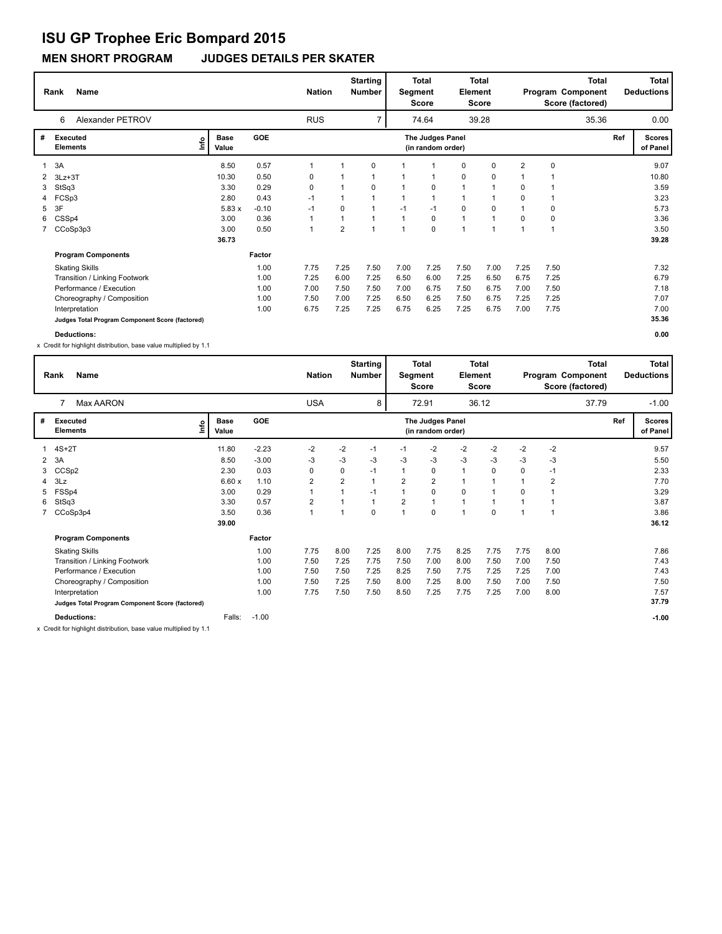**MEN SHORT PROGRAM JUDGES DETAILS PER SKATER**

|   | Name<br>Rank                                    |                            | <b>Nation</b> |         | <b>Starting</b><br><b>Number</b> |                | Total<br>Segment<br>Score | Element                 | Total<br>Score                        |      |       | <b>Total</b><br>Program Component<br>Score (factored) |             | <b>Total</b><br><b>Deductions</b> |     |                           |
|---|-------------------------------------------------|----------------------------|---------------|---------|----------------------------------|----------------|---------------------------|-------------------------|---------------------------------------|------|-------|-------------------------------------------------------|-------------|-----------------------------------|-----|---------------------------|
|   | Alexander PETROV<br>6                           |                            |               |         | <b>RUS</b>                       |                | 7                         |                         | 74.64                                 |      | 39.28 |                                                       |             | 35.36                             |     | 0.00                      |
| # | Executed<br><b>Elements</b>                     | <b>Base</b><br>١m<br>Value | <b>GOE</b>    |         |                                  |                |                           |                         | The Judges Panel<br>(in random order) |      |       |                                                       |             |                                   | Ref | <b>Scores</b><br>of Panel |
| 1 | 3A                                              | 8.50                       |               | 0.57    | 1                                |                | 0                         |                         |                                       | 0    | 0     | 2                                                     | $\mathbf 0$ |                                   |     | 9.07                      |
|   | 2 3Lz+3T                                        | 10.30                      |               | 0.50    | 0                                |                |                           |                         | $\mathbf 1$                           | 0    | 0     |                                                       |             |                                   |     | 10.80                     |
| 3 | StSq3                                           | 3.30                       |               | 0.29    | 0                                |                | 0                         |                         | 0                                     |      |       | 0                                                     |             |                                   |     | 3.59                      |
|   | FCSp3                                           | 2.80                       |               | 0.43    | $-1$                             |                |                           |                         | $\overline{1}$                        |      |       | $\mathbf 0$                                           |             |                                   |     | 3.23                      |
| 5 | 3F                                              |                            | 5.83x         | $-0.10$ | -1                               | 0              |                           | $-1$                    | $-1$                                  | 0    | 0     |                                                       | $\mathbf 0$ |                                   |     | 5.73                      |
| 6 | CSSp4                                           | 3.00                       |               | 0.36    | $\mathbf{1}$                     | 1              |                           |                         | 0                                     | 1    | 1     | 0                                                     | 0           |                                   |     | 3.36                      |
|   | CCoSp3p3                                        | 3.00                       |               | 0.50    | $\mathbf{1}$                     | $\overline{2}$ | 1                         | $\overline{\mathbf{A}}$ | $\mathbf 0$                           |      | 1     | $\overline{ }$                                        |             |                                   |     | 3.50                      |
|   |                                                 | 36.73                      |               |         |                                  |                |                           |                         |                                       |      |       |                                                       |             |                                   |     | 39.28                     |
|   | <b>Program Components</b>                       |                            | Factor        |         |                                  |                |                           |                         |                                       |      |       |                                                       |             |                                   |     |                           |
|   | <b>Skating Skills</b>                           |                            |               | 1.00    | 7.75                             | 7.25           | 7.50                      | 7.00                    | 7.25                                  | 7.50 | 7.00  | 7.25                                                  | 7.50        |                                   |     | 7.32                      |
|   | Transition / Linking Footwork                   |                            |               | 1.00    | 7.25                             | 6.00           | 7.25                      | 6.50                    | 6.00                                  | 7.25 | 6.50  | 6.75                                                  | 7.25        |                                   |     | 6.79                      |
|   | Performance / Execution                         |                            |               | 1.00    | 7.00                             | 7.50           | 7.50                      | 7.00                    | 6.75                                  | 7.50 | 6.75  | 7.00                                                  | 7.50        |                                   |     | 7.18                      |
|   | Choreography / Composition                      |                            |               | 1.00    | 7.50                             | 7.00           | 7.25                      | 6.50                    | 6.25                                  | 7.50 | 6.75  | 7.25                                                  | 7.25        |                                   |     | 7.07                      |
|   | Interpretation                                  |                            |               | 1.00    | 6.75                             | 7.25           | 7.25                      | 6.75                    | 6.25                                  | 7.25 | 6.75  | 7.00                                                  | 7.75        |                                   |     | 7.00                      |
|   | Judges Total Program Component Score (factored) |                            |               |         |                                  |                |                           |                         |                                       |      |       |                                                       |             |                                   |     | 35.36                     |
|   | <b>Deductions:</b>                              |                            |               |         |                                  |                |                           |                         |                                       |      |       |                                                       |             |                                   |     | 0.00                      |

x Credit for highlight distribution, base value multiplied by 1.1

|   | <b>Name</b><br>Rank                             |    |                      | <b>Nation</b> |                | <b>Starting</b><br><b>Number</b> | Segment | <b>Total</b><br>Score | Element                               | <b>Total</b><br>Score |             |      | <b>Total</b><br>Program Component<br>Score (factored) |       | <b>Total</b><br><b>Deductions</b> |                           |
|---|-------------------------------------------------|----|----------------------|---------------|----------------|----------------------------------|---------|-----------------------|---------------------------------------|-----------------------|-------------|------|-------------------------------------------------------|-------|-----------------------------------|---------------------------|
|   | Max AARON                                       |    |                      |               | <b>USA</b>     |                                  | 8       |                       | 72.91                                 |                       | 36.12       |      |                                                       | 37.79 |                                   | $-1.00$                   |
| # | <b>Executed</b><br><b>Elements</b>              | ۴ů | <b>Base</b><br>Value | <b>GOE</b>    |                |                                  |         |                       | The Judges Panel<br>(in random order) |                       |             |      |                                                       |       | Ref                               | <b>Scores</b><br>of Panel |
|   | $4S+2T$                                         |    | 11.80                | $-2.23$       | $-2$           | $-2$                             | $-1$    | $-1$                  | $-2$                                  | -2                    | $-2$        | $-2$ | $-2$                                                  |       |                                   | 9.57                      |
| 2 | 3A                                              |    | 8.50                 | $-3.00$       | $-3$           | $-3$                             | $-3$    | $-3$                  | $-3$                                  | $-3$                  | $-3$        | $-3$ | $-3$                                                  |       |                                   | 5.50                      |
| 3 | CCSp2                                           |    | 2.30                 | 0.03          | 0              | 0                                | $-1$    | 1                     | 0                                     | $\mathbf{1}$          | $\Omega$    | 0    | $-1$                                                  |       |                                   | 2.33                      |
| 4 | 3Lz                                             |    | 6.60x                | 1.10          | $\overline{2}$ | 2                                |         | 2                     | 2                                     | $\mathbf{1}$          |             |      | 2                                                     |       |                                   | 7.70                      |
| 5 | FSSp4                                           |    | 3.00                 | 0.29          |                |                                  | $-1$    | $\mathbf{1}$          | 0                                     | 0                     |             | 0    |                                                       |       |                                   | 3.29                      |
| 6 | StSq3                                           |    | 3.30                 | 0.57          | $\overline{2}$ |                                  |         | $\overline{2}$        | 1                                     |                       |             |      |                                                       |       |                                   | 3.87                      |
|   | 7 CCoSp3p4                                      |    | 3.50                 | 0.36          |                |                                  | 0       | 1                     | 0                                     | 1                     | $\mathbf 0$ |      | 1                                                     |       |                                   | 3.86                      |
|   |                                                 |    | 39.00                |               |                |                                  |         |                       |                                       |                       |             |      |                                                       |       |                                   | 36.12                     |
|   | <b>Program Components</b>                       |    |                      | Factor        |                |                                  |         |                       |                                       |                       |             |      |                                                       |       |                                   |                           |
|   | <b>Skating Skills</b>                           |    |                      | 1.00          | 7.75           | 8.00                             | 7.25    | 8.00                  | 7.75                                  | 8.25                  | 7.75        | 7.75 | 8.00                                                  |       |                                   | 7.86                      |
|   | Transition / Linking Footwork                   |    |                      | 1.00          | 7.50           | 7.25                             | 7.75    | 7.50                  | 7.00                                  | 8.00                  | 7.50        | 7.00 | 7.50                                                  |       |                                   | 7.43                      |
|   | Performance / Execution                         |    |                      | 1.00          | 7.50           | 7.50                             | 7.25    | 8.25                  | 7.50                                  | 7.75                  | 7.25        | 7.25 | 7.00                                                  |       |                                   | 7.43                      |
|   | Choreography / Composition                      |    |                      | 1.00          | 7.50           | 7.25                             | 7.50    | 8.00                  | 7.25                                  | 8.00                  | 7.50        | 7.00 | 7.50                                                  |       |                                   | 7.50                      |
|   | Interpretation                                  |    |                      | 1.00          | 7.75           | 7.50                             | 7.50    | 8.50                  | 7.25                                  | 7.75                  | 7.25        | 7.00 | 8.00                                                  |       |                                   | 7.57                      |
|   | Judges Total Program Component Score (factored) |    |                      |               |                |                                  |         |                       |                                       |                       |             |      |                                                       |       |                                   | 37.79                     |
|   | <b>Deductions:</b>                              |    | Falls:               | $-1.00$       |                |                                  |         |                       |                                       |                       |             |      |                                                       |       |                                   | $-1.00$                   |

x Credit for highlight distribution, base value multiplied by 1.1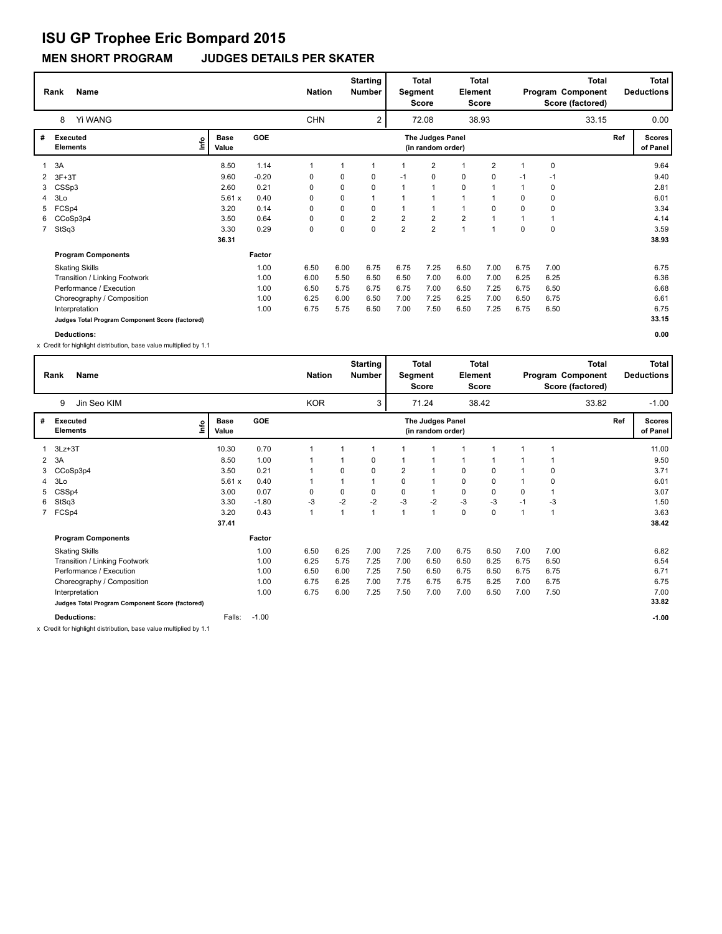**MEN SHORT PROGRAM JUDGES DETAILS PER SKATER**

|    | <b>Name</b><br>Rank                             | <b>Nation</b>               |            | <b>Starting</b><br><b>Number</b> | Segment | <b>Total</b><br><b>Score</b> | Element        | <b>Total</b><br>Score                 |                |                | Total<br>Program Component<br>Score (factored) |             | <b>Total</b><br><b>Deductions</b> |     |                           |
|----|-------------------------------------------------|-----------------------------|------------|----------------------------------|---------|------------------------------|----------------|---------------------------------------|----------------|----------------|------------------------------------------------|-------------|-----------------------------------|-----|---------------------------|
|    | Yi WANG<br>8                                    |                             |            | <b>CHN</b>                       |         | 2                            |                | 72.08                                 |                | 38.93          |                                                |             | 33.15                             |     | 0.00                      |
| #  | Executed<br><b>Elements</b>                     | <b>Base</b><br>١m٥<br>Value | <b>GOE</b> |                                  |         |                              |                | The Judges Panel<br>(in random order) |                |                |                                                |             |                                   | Ref | <b>Scores</b><br>of Panel |
|    | 3A                                              | 8.50                        | 1.14       | 1                                | 1       | 1                            |                | 2                                     | $\mathbf 1$    | $\overline{2}$ | 1                                              | $\mathbf 0$ |                                   |     | 9.64                      |
|    | $3F+3T$                                         | 9.60                        | $-0.20$    | 0                                | 0       | 0                            | $-1$           | 0                                     | 0              | 0              | $-1$                                           | $-1$        |                                   |     | 9.40                      |
|    | CSSp3                                           | 2.60                        | 0.21       | 0                                | 0       | 0                            |                | 1                                     | $\mathbf 0$    |                |                                                | 0           |                                   |     | 2.81                      |
|    | 3Lo                                             | 5.61x                       | 0.40       | $\Omega$                         | 0       | 1                            |                | $\mathbf{1}$                          | $\mathbf{1}$   |                | 0                                              | 0           |                                   |     | 6.01                      |
| 5  | FCSp4                                           | 3.20                        | 0.14       | 0                                | 0       | 0                            |                | 1                                     | $\mathbf{1}$   | 0              | $\Omega$                                       | 0           |                                   |     | 3.34                      |
| 6. | CCoSp3p4                                        | 3.50                        | 0.64       | 0                                | 0       | $\overline{2}$               | $\overline{2}$ | $\overline{2}$                        | $\overline{2}$ |                |                                                |             |                                   |     | 4.14                      |
|    | 7 StSq3                                         | 3.30                        | 0.29       | $\mathbf 0$                      | 0       | 0                            | $\overline{2}$ | $\overline{2}$                        | $\overline{A}$ | $\overline{ }$ | $\Omega$                                       | $\mathbf 0$ |                                   |     | 3.59                      |
|    |                                                 | 36.31                       |            |                                  |         |                              |                |                                       |                |                |                                                |             |                                   |     | 38.93                     |
|    | <b>Program Components</b>                       |                             | Factor     |                                  |         |                              |                |                                       |                |                |                                                |             |                                   |     |                           |
|    | <b>Skating Skills</b>                           |                             | 1.00       | 6.50                             | 6.00    | 6.75                         | 6.75           | 7.25                                  | 6.50           | 7.00           | 6.75                                           | 7.00        |                                   |     | 6.75                      |
|    | Transition / Linking Footwork                   |                             | 1.00       | 6.00                             | 5.50    | 6.50                         | 6.50           | 7.00                                  | 6.00           | 7.00           | 6.25                                           | 6.25        |                                   |     | 6.36                      |
|    | Performance / Execution                         |                             | 1.00       | 6.50                             | 5.75    | 6.75                         | 6.75           | 7.00                                  | 6.50           | 7.25           | 6.75                                           | 6.50        |                                   |     | 6.68                      |
|    | Choreography / Composition                      |                             | 1.00       | 6.25                             | 6.00    | 6.50                         | 7.00           | 7.25                                  | 6.25           | 7.00           | 6.50                                           | 6.75        |                                   |     | 6.61                      |
|    | Interpretation                                  |                             | 1.00       | 6.75                             | 5.75    | 6.50                         | 7.00           | 7.50                                  | 6.50           | 7.25           | 6.75                                           | 6.50        |                                   |     | 6.75                      |
|    | Judges Total Program Component Score (factored) |                             |            |                                  |         |                              |                |                                       |                |                |                                                |             |                                   |     | 33.15                     |
|    | Deductions:                                     |                             |            |                                  |         |                              |                |                                       |                |                |                                                |             |                                   |     | 0.00                      |

x Credit for highlight distribution, base value multiplied by 1.1

|   | Rank<br>Name                                    |      |                      |            |              | <b>Nation</b> |      | <b>Starting</b><br><b>Number</b> | Segment | <b>Total</b><br>Score                 | Element     | <b>Total</b><br>Score |      |      | <b>Total</b><br>Program Component<br>Score (factored) |     | Total<br><b>Deductions</b> |
|---|-------------------------------------------------|------|----------------------|------------|--------------|---------------|------|----------------------------------|---------|---------------------------------------|-------------|-----------------------|------|------|-------------------------------------------------------|-----|----------------------------|
|   | 9<br>Jin Seo KIM                                |      |                      |            |              | <b>KOR</b>    |      | 3                                |         | 71.24                                 |             | 38.42                 |      |      | 33.82                                                 |     | $-1.00$                    |
| # | Executed<br><b>Elements</b>                     | lnfo | <b>Base</b><br>Value | <b>GOE</b> |              |               |      |                                  |         | The Judges Panel<br>(in random order) |             |                       |      |      |                                                       | Ref | <b>Scores</b><br>of Panel  |
|   | $3Lz + 3T$                                      |      | 10.30                | 0.70       | 1            |               |      |                                  |         | 1                                     | -1          |                       |      |      |                                                       |     | 11.00                      |
| 2 | 3A                                              |      | 8.50                 | 1.00       |              |               |      | 0                                |         | 1                                     | 1           |                       |      |      |                                                       |     | 9.50                       |
|   | 3 CCoSp3p4                                      |      | 3.50                 | 0.21       |              |               | 0    | 0                                | 2       | 1                                     | 0           | 0                     |      | 0    |                                                       |     | 3.71                       |
| 4 | 3Lo                                             |      | 5.61x                | 0.40       |              |               |      |                                  | 0       | $\mathbf{1}$                          | 0           | 0                     |      | 0    |                                                       |     | 6.01                       |
| 5 | CSSp4                                           |      | 3.00                 | 0.07       | 0            |               | 0    | 0                                | 0       | $\mathbf{1}$                          | $\mathbf 0$ | $\mathbf 0$           | 0    |      |                                                       |     | 3.07                       |
|   | 6 StSq3                                         |      | 3.30                 | $-1.80$    | $-3$         |               | $-2$ | $-2$                             | $-3$    | $-2$                                  | $-3$        | $-3$                  | $-1$ | -3   |                                                       |     | 1.50                       |
|   | 7 FCSp4                                         |      | 3.20                 | 0.43       | $\mathbf{1}$ |               | 1    |                                  | 1       | $\mathbf{1}$                          | 0           | $\mathbf 0$           | 1    | 1    |                                                       |     | 3.63                       |
|   |                                                 |      | 37.41                |            |              |               |      |                                  |         |                                       |             |                       |      |      |                                                       |     | 38.42                      |
|   | <b>Program Components</b>                       |      |                      | Factor     |              |               |      |                                  |         |                                       |             |                       |      |      |                                                       |     |                            |
|   | <b>Skating Skills</b>                           |      |                      | 1.00       | 6.50         |               | 6.25 | 7.00                             | 7.25    | 7.00                                  | 6.75        | 6.50                  | 7.00 | 7.00 |                                                       |     | 6.82                       |
|   | Transition / Linking Footwork                   |      |                      | 1.00       | 6.25         |               | 5.75 | 7.25                             | 7.00    | 6.50                                  | 6.50        | 6.25                  | 6.75 | 6.50 |                                                       |     | 6.54                       |
|   | Performance / Execution                         |      |                      | 1.00       | 6.50         |               | 6.00 | 7.25                             | 7.50    | 6.50                                  | 6.75        | 6.50                  | 6.75 | 6.75 |                                                       |     | 6.71                       |
|   | Choreography / Composition                      |      |                      | 1.00       | 6.75         |               | 6.25 | 7.00                             | 7.75    | 6.75                                  | 6.75        | 6.25                  | 7.00 | 6.75 |                                                       |     | 6.75                       |
|   | Interpretation                                  |      |                      | 1.00       | 6.75         |               | 6.00 | 7.25                             | 7.50    | 7.00                                  | 7.00        | 6.50                  | 7.00 | 7.50 |                                                       |     | 7.00                       |
|   | Judges Total Program Component Score (factored) |      |                      |            |              |               |      |                                  |         |                                       |             |                       |      |      |                                                       |     | 33.82                      |
|   | <b>Deductions:</b>                              |      | Falls:               | $-1.00$    |              |               |      |                                  |         |                                       |             |                       |      |      |                                                       |     | $-1.00$                    |

x Credit for highlight distribution, base value multiplied by 1.1